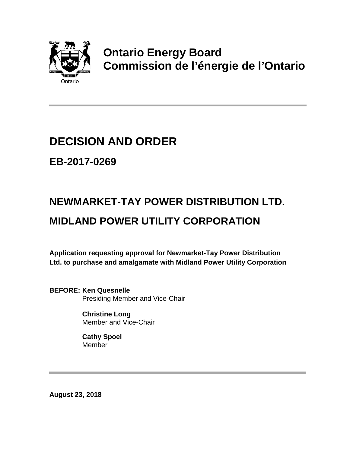

# **Ontario Energy Board Commission de l'énergie de l'Ontario**

## **DECISION AND ORDER**

**EB-2017-0269**

# **NEWMARKET-TAY POWER DISTRIBUTION LTD. MIDLAND POWER UTILITY CORPORATION**

**Application requesting approval for Newmarket-Tay Power Distribution Ltd. to purchase and amalgamate with Midland Power Utility Corporation**

**BEFORE: Ken Quesnelle** Presiding Member and Vice-Chair

> **Christine Long** Member and Vice-Chair

**Cathy Spoel Member** 

**August 23, 2018**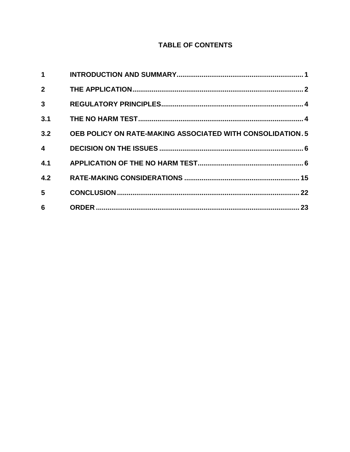#### **TABLE OF CONTENTS**

| <b>OEB POLICY ON RATE-MAKING ASSOCIATED WITH CONSOLIDATION. 5</b> |
|-------------------------------------------------------------------|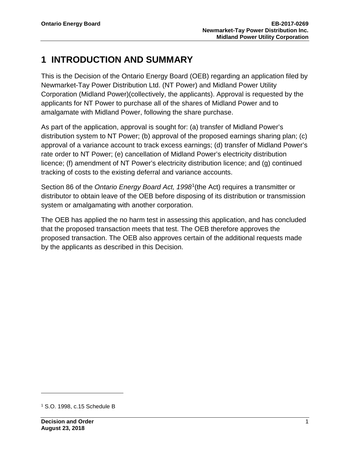## <span id="page-2-0"></span>**1 INTRODUCTION AND SUMMARY**

This is the Decision of the Ontario Energy Board (OEB) regarding an application filed by Newmarket-Tay Power Distribution Ltd. (NT Power) and Midland Power Utility Corporation (Midland Power)(collectively, the applicants). Approval is requested by the applicants for NT Power to purchase all of the shares of Midland Power and to amalgamate with Midland Power, following the share purchase.

As part of the application, approval is sought for: (a) transfer of Midland Power's distribution system to NT Power; (b) approval of the proposed earnings sharing plan; (c) approval of a variance account to track excess earnings; (d) transfer of Midland Power's rate order to NT Power; (e) cancellation of Midland Power's electricity distribution licence; (f) amendment of NT Power's electricity distribution licence; and (g) continued tracking of costs to the existing deferral and variance accounts.

Section 86 of the *Ontario Energy Board Act, 1998*[1](#page-2-1)(the Act) requires a transmitter or distributor to obtain leave of the OEB before disposing of its distribution or transmission system or amalgamating with another corporation.

The OEB has applied the no harm test in assessing this application, and has concluded that the proposed transaction meets that test. The OEB therefore approves the proposed transaction. The OEB also approves certain of the additional requests made by the applicants as described in this Decision.

<span id="page-2-1"></span><sup>1</sup> S.O. 1998, c.15 Schedule B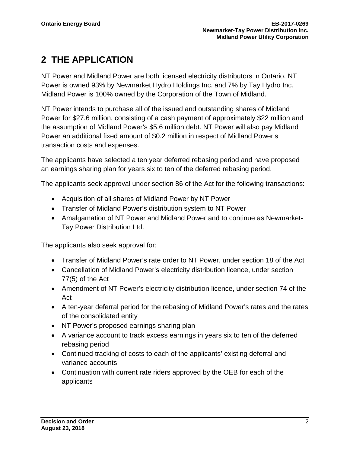## <span id="page-3-0"></span>**2 THE APPLICATION**

NT Power and Midland Power are both licensed electricity distributors in Ontario. NT Power is owned 93% by Newmarket Hydro Holdings Inc. and 7% by Tay Hydro Inc. Midland Power is 100% owned by the Corporation of the Town of Midland.

NT Power intends to purchase all of the issued and outstanding shares of Midland Power for \$27.6 million, consisting of a cash payment of approximately \$22 million and the assumption of Midland Power's \$5.6 million debt. NT Power will also pay Midland Power an additional fixed amount of \$0.2 million in respect of Midland Power's transaction costs and expenses.

The applicants have selected a ten year deferred rebasing period and have proposed an earnings sharing plan for years six to ten of the deferred rebasing period.

The applicants seek approval under section 86 of the Act for the following transactions:

- Acquisition of all shares of Midland Power by NT Power
- Transfer of Midland Power's distribution system to NT Power
- Amalgamation of NT Power and Midland Power and to continue as Newmarket-Tay Power Distribution Ltd.

The applicants also seek approval for:

- Transfer of Midland Power's rate order to NT Power, under section 18 of the Act
- Cancellation of Midland Power's electricity distribution licence, under section 77(5) of the Act
- Amendment of NT Power's electricity distribution licence, under section 74 of the Act
- A ten-year deferral period for the rebasing of Midland Power's rates and the rates of the consolidated entity
- NT Power's proposed earnings sharing plan
- A variance account to track excess earnings in years six to ten of the deferred rebasing period
- Continued tracking of costs to each of the applicants' existing deferral and variance accounts
- Continuation with current rate riders approved by the OEB for each of the applicants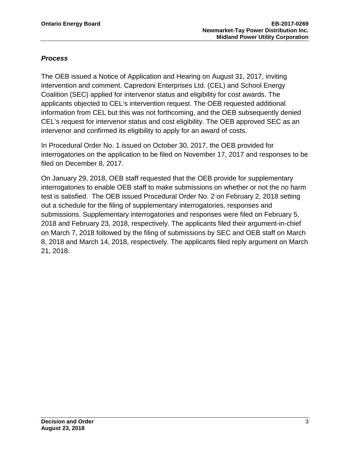#### *Process*

The OEB issued a Notice of Application and Hearing on August 31, 2017, inviting intervention and comment. Capredoni Enterprises Ltd. (CEL) and School Energy Coalition (SEC) applied for intervenor status and eligibility for cost awards. The applicants objected to CEL's intervention request. The OEB requested additional information from CEL but this was not forthcoming, and the OEB subsequently denied CEL's request for intervenor status and cost eligibility. The OEB approved SEC as an intervenor and confirmed its eligibility to apply for an award of costs.

In Procedural Order No. 1 issued on October 30, 2017, the OEB provided for interrogatories on the application to be filed on November 17, 2017 and responses to be filed on December 8, 2017.

On January 29, 2018, OEB staff requested that the OEB provide for supplementary interrogatories to enable OEB staff to make submissions on whether or not the no harm test is satisfied. The OEB issued Procedural Order No. 2 on February 2, 2018 setting out a schedule for the filing of supplementary interrogatories, responses and submissions. Supplementary interrogatories and responses were filed on February 5, 2018 and February 23, 2018, respectively. The applicants filed their argument-in-chief on March 7, 2018 followed by the filing of submissions by SEC and OEB staff on March 8, 2018 and March 14, 2018, respectively. The applicants filed reply argument on March 21, 2018.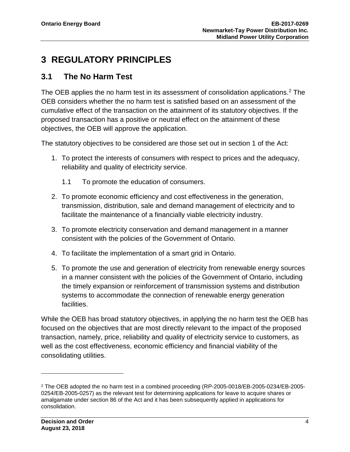## <span id="page-5-0"></span>**3 REGULATORY PRINCIPLES**

### <span id="page-5-1"></span>**3.1 The No Harm Test**

The OEB applies the no harm test in its assessment of consolidation applications.<sup>2</sup> The OEB considers whether the no harm test is satisfied based on an assessment of the cumulative effect of the transaction on the attainment of its statutory objectives. If the proposed transaction has a positive or neutral effect on the attainment of these objectives, the OEB will approve the application.

The statutory objectives to be considered are those set out in section 1 of the Act:

- 1. To protect the interests of consumers with respect to prices and the adequacy, reliability and quality of electricity service.
	- 1.1 To promote the education of consumers.
- 2. To promote economic efficiency and cost effectiveness in the generation, transmission, distribution, sale and demand management of electricity and to facilitate the maintenance of a financially viable electricity industry.
- 3. To promote electricity conservation and demand management in a manner consistent with the policies of the Government of Ontario.
- 4. To facilitate the implementation of a smart grid in Ontario.
- 5. To promote the use and generation of electricity from renewable energy sources in a manner consistent with the policies of the Government of Ontario, including the timely expansion or reinforcement of transmission systems and distribution systems to accommodate the connection of renewable energy generation facilities.

While the OEB has broad statutory objectives, in applying the no harm test the OEB has focused on the objectives that are most directly relevant to the impact of the proposed transaction, namely, price, reliability and quality of electricity service to customers, as well as the cost effectiveness, economic efficiency and financial viability of the consolidating utilities.

<span id="page-5-2"></span><sup>2</sup> The OEB adopted the no harm test in a combined proceeding (RP-2005-0018/EB-2005-0234/EB-2005- 0254/EB-2005-0257) as the relevant test for determining applications for leave to acquire shares or amalgamate under section 86 of the Act and it has been subsequently applied in applications for consolidation.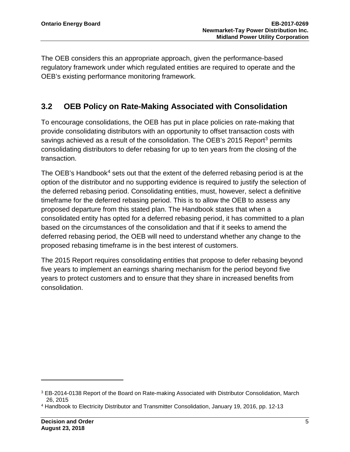The OEB considers this an appropriate approach, given the performance-based regulatory framework under which regulated entities are required to operate and the OEB's existing performance monitoring framework.

## <span id="page-6-0"></span>**3.2 OEB Policy on Rate-Making Associated with Consolidation**

To encourage consolidations, the OEB has put in place policies on rate-making that provide consolidating distributors with an opportunity to offset transaction costs with savings achieved as a result of the consolidation. The OEB's 2015 Report<sup>[3](#page-6-1)</sup> permits consolidating distributors to defer rebasing for up to ten years from the closing of the transaction.

The OEB's Handbook $4$  sets out that the extent of the deferred rebasing period is at the option of the distributor and no supporting evidence is required to justify the selection of the deferred rebasing period. Consolidating entities, must, however, select a definitive timeframe for the deferred rebasing period. This is to allow the OEB to assess any proposed departure from this stated plan. The Handbook states that when a consolidated entity has opted for a deferred rebasing period, it has committed to a plan based on the circumstances of the consolidation and that if it seeks to amend the deferred rebasing period, the OEB will need to understand whether any change to the proposed rebasing timeframe is in the best interest of customers.

The 2015 Report requires consolidating entities that propose to defer rebasing beyond five years to implement an earnings sharing mechanism for the period beyond five years to protect customers and to ensure that they share in increased benefits from consolidation.

<span id="page-6-1"></span><sup>3</sup> EB-2014-0138 Report of the Board on Rate-making Associated with Distributor Consolidation, March 26, 2015

<span id="page-6-2"></span><sup>4</sup> Handbook to Electricity Distributor and Transmitter Consolidation, January 19, 2016, pp. 12-13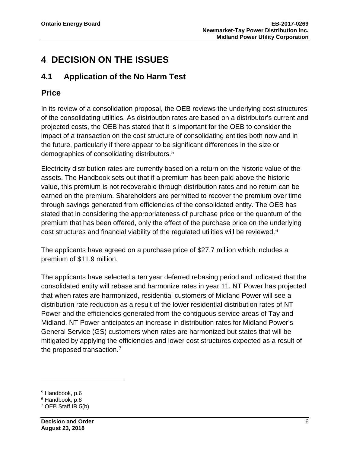## <span id="page-7-0"></span>**4 DECISION ON THE ISSUES**

### <span id="page-7-1"></span>**4.1 Application of the No Harm Test**

### **Price**

In its review of a consolidation proposal, the OEB reviews the underlying cost structures of the consolidating utilities. As distribution rates are based on a distributor's current and projected costs, the OEB has stated that it is important for the OEB to consider the impact of a transaction on the cost structure of consolidating entities both now and in the future, particularly if there appear to be significant differences in the size or demographics of consolidating distributors.[5](#page-7-2)

Electricity distribution rates are currently based on a return on the historic value of the assets. The Handbook sets out that if a premium has been paid above the historic value, this premium is not recoverable through distribution rates and no return can be earned on the premium. Shareholders are permitted to recover the premium over time through savings generated from efficiencies of the consolidated entity. The OEB has stated that in considering the appropriateness of purchase price or the quantum of the premium that has been offered, only the effect of the purchase price on the underlying cost structures and financial viability of the regulated utilities will be reviewed.[6](#page-7-3)

The applicants have agreed on a purchase price of \$27.7 million which includes a premium of \$11.9 million.

The applicants have selected a ten year deferred rebasing period and indicated that the consolidated entity will rebase and harmonize rates in year 11. NT Power has projected that when rates are harmonized, residential customers of Midland Power will see a distribution rate reduction as a result of the lower residential distribution rates of NT Power and the efficiencies generated from the contiguous service areas of Tay and Midland. NT Power anticipates an increase in distribution rates for Midland Power's General Service (GS) customers when rates are harmonized but states that will be mitigated by applying the efficiencies and lower cost structures expected as a result of the proposed transaction. [7](#page-7-4)

<span id="page-7-2"></span><sup>5</sup> Handbook, p.6

<span id="page-7-3"></span><sup>6</sup> Handbook, p.8

<span id="page-7-4"></span><sup>7</sup> OEB Staff IR 5(b)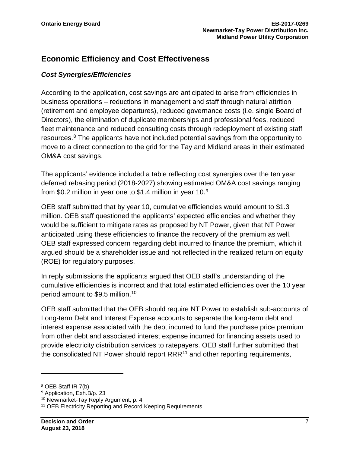## **Economic Efficiency and Cost Effectiveness**

#### *Cost Synergies/Efficiencies*

According to the application, cost savings are anticipated to arise from efficiencies in business operations – reductions in management and staff through natural attrition (retirement and employee departures), reduced governance costs (i.e. single Board of Directors), the elimination of duplicate memberships and professional fees, reduced fleet maintenance and reduced consulting costs through redeployment of existing staff resources.[8](#page-8-0) The applicants have not included potential savings from the opportunity to move to a direct connection to the grid for the Tay and Midland areas in their estimated OM&A cost savings.

The applicants' evidence included a table reflecting cost synergies over the ten year deferred rebasing period (2018-2027) showing estimated OM&A cost savings ranging from \$0.2 million in year one to \$1.4 million in year 10.[9](#page-8-1)

OEB staff submitted that by year 10, cumulative efficiencies would amount to \$1.3 million. OEB staff questioned the applicants' expected efficiencies and whether they would be sufficient to mitigate rates as proposed by NT Power, given that NT Power anticipated using these efficiencies to finance the recovery of the premium as well. OEB staff expressed concern regarding debt incurred to finance the premium, which it argued should be a shareholder issue and not reflected in the realized return on equity (ROE) for regulatory purposes.

In reply submissions the applicants argued that OEB staff's understanding of the cumulative efficiencies is incorrect and that total estimated efficiencies over the 10 year period amount to \$9.5 million.[10](#page-8-2)

OEB staff submitted that the OEB should require NT Power to establish sub-accounts of Long-term Debt and Interest Expense accounts to separate the long-term debt and interest expense associated with the debt incurred to fund the purchase price premium from other debt and associated interest expense incurred for financing assets used to provide electricity distribution services to ratepayers. OEB staff further submitted that the consolidated NT Power should report  $RRR<sup>11</sup>$  $RRR<sup>11</sup>$  $RRR<sup>11</sup>$  and other reporting requirements,

<span id="page-8-0"></span><sup>8</sup> OEB Staff IR 7(b)

<span id="page-8-1"></span><sup>9</sup> Application, Exh.B/p. 23

<span id="page-8-2"></span><sup>10</sup> Newmarket-Tay Reply Argument, p. 4

<span id="page-8-3"></span><sup>11</sup> OEB Electricity Reporting and Record Keeping Requirements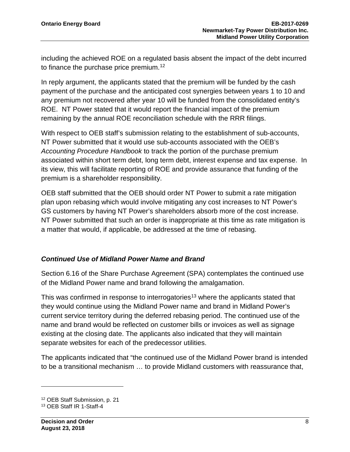including the achieved ROE on a regulated basis absent the impact of the debt incurred to finance the purchase price premium.<sup>[12](#page-9-0)</sup>

In reply argument, the applicants stated that the premium will be funded by the cash payment of the purchase and the anticipated cost synergies between years 1 to 10 and any premium not recovered after year 10 will be funded from the consolidated entity's ROE. NT Power stated that it would report the financial impact of the premium remaining by the annual ROE reconciliation schedule with the RRR filings.

With respect to OEB staff's submission relating to the establishment of sub-accounts, NT Power submitted that it would use sub-accounts associated with the OEB's *Accounting Procedure Handbook* to track the portion of the purchase premium associated within short term debt, long term debt, interest expense and tax expense. In its view, this will facilitate reporting of ROE and provide assurance that funding of the premium is a shareholder responsibility.

OEB staff submitted that the OEB should order NT Power to submit a rate mitigation plan upon rebasing which would involve mitigating any cost increases to NT Power's GS customers by having NT Power's shareholders absorb more of the cost increase. NT Power submitted that such an order is inappropriate at this time as rate mitigation is a matter that would, if applicable, be addressed at the time of rebasing.

#### *Continued Use of Midland Power Name and Brand*

Section 6.16 of the Share Purchase Agreement (SPA) contemplates the continued use of the Midland Power name and brand following the amalgamation.

This was confirmed in response to interrogatories<sup>[13](#page-9-1)</sup> where the applicants stated that they would continue using the Midland Power name and brand in Midland Power's current service territory during the deferred rebasing period. The continued use of the name and brand would be reflected on customer bills or invoices as well as signage existing at the closing date. The applicants also indicated that they will maintain separate websites for each of the predecessor utilities.

The applicants indicated that "the continued use of the Midland Power brand is intended to be a transitional mechanism … to provide Midland customers with reassurance that,

<span id="page-9-0"></span><sup>12</sup> OEB Staff Submission, p. 21

<span id="page-9-1"></span><sup>13</sup> OEB Staff IR 1-Staff-4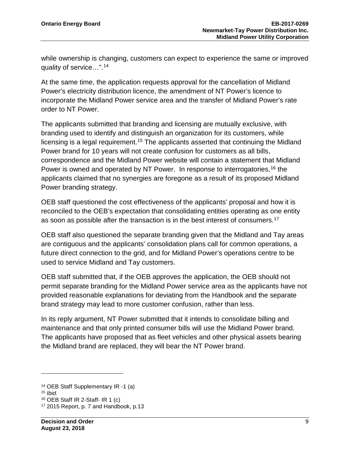while ownership is changing, customers can expect to experience the same or improved quality of service…".[14](#page-10-0)

At the same time, the application requests approval for the cancellation of Midland Power's electricity distribution licence, the amendment of NT Power's licence to incorporate the Midland Power service area and the transfer of Midland Power's rate order to NT Power.

The applicants submitted that branding and licensing are mutually exclusive, with branding used to identify and distinguish an organization for its customers, while licensing is a legal requirement.<sup>[15](#page-10-1)</sup> The applicants asserted that continuing the Midland Power brand for 10 years will not create confusion for customers as all bills, correspondence and the Midland Power website will contain a statement that Midland Power is owned and operated by NT Power. In response to interrogatories,<sup>[16](#page-10-2)</sup> the applicants claimed that no synergies are foregone as a result of its proposed Midland Power branding strategy.

OEB staff questioned the cost effectiveness of the applicants' proposal and how it is reconciled to the OEB's expectation that consolidating entities operating as one entity as soon as possible after the transaction is in the best interest of consumers.<sup>17</sup>

OEB staff also questioned the separate branding given that the Midland and Tay areas are contiguous and the applicants' consolidation plans call for common operations, a future direct connection to the grid, and for Midland Power's operations centre to be used to service Midland and Tay customers.

OEB staff submitted that, if the OEB approves the application, the OEB should not permit separate branding for the Midland Power service area as the applicants have not provided reasonable explanations for deviating from the Handbook and the separate brand strategy may lead to more customer confusion, rather than less.

In its reply argument, NT Power submitted that it intends to consolidate billing and maintenance and that only printed consumer bills will use the Midland Power brand. The applicants have proposed that as fleet vehicles and other physical assets bearing the Midland brand are replaced, they will bear the NT Power brand.

<span id="page-10-0"></span><sup>14</sup> OEB Staff Supplementary IR -1 (a)

<span id="page-10-1"></span><sup>15</sup> *Ibid.*

<span id="page-10-2"></span> $16$  OEB Staff IR 2-Staff- IR 1 (c)

<span id="page-10-3"></span><sup>17</sup> 2015 Report, p. 7 and Handbook, p.13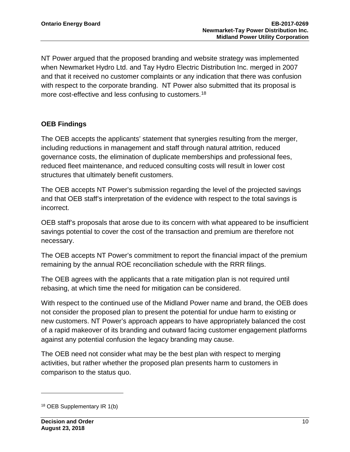NT Power argued that the proposed branding and website strategy was implemented when Newmarket Hydro Ltd. and Tay Hydro Electric Distribution Inc. merged in 2007 and that it received no customer complaints or any indication that there was confusion with respect to the corporate branding. NT Power also submitted that its proposal is more cost-effective and less confusing to customers.<sup>[18](#page-11-0)</sup>

#### **OEB Findings**

The OEB accepts the applicants' statement that synergies resulting from the merger, including reductions in management and staff through natural attrition, reduced governance costs, the elimination of duplicate memberships and professional fees, reduced fleet maintenance, and reduced consulting costs will result in lower cost structures that ultimately benefit customers.

The OEB accepts NT Power's submission regarding the level of the projected savings and that OEB staff's interpretation of the evidence with respect to the total savings is incorrect.

OEB staff's proposals that arose due to its concern with what appeared to be insufficient savings potential to cover the cost of the transaction and premium are therefore not necessary.

The OEB accepts NT Power's commitment to report the financial impact of the premium remaining by the annual ROE reconciliation schedule with the RRR filings.

The OEB agrees with the applicants that a rate mitigation plan is not required until rebasing, at which time the need for mitigation can be considered.

With respect to the continued use of the Midland Power name and brand, the OEB does not consider the proposed plan to present the potential for undue harm to existing or new customers. NT Power's approach appears to have appropriately balanced the cost of a rapid makeover of its branding and outward facing customer engagement platforms against any potential confusion the legacy branding may cause.

The OEB need not consider what may be the best plan with respect to merging activities, but rather whether the proposed plan presents harm to customers in comparison to the status quo.

<span id="page-11-0"></span><sup>18</sup> OEB Supplementary IR 1(b)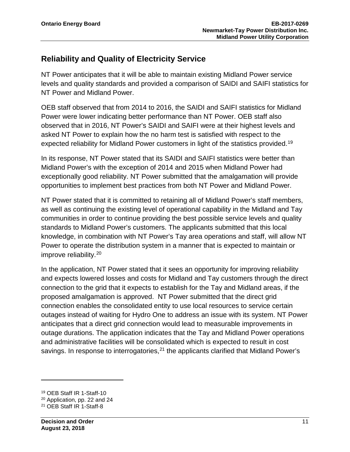### **Reliability and Quality of Electricity Service**

NT Power anticipates that it will be able to maintain existing Midland Power service levels and quality standards and provided a comparison of SAIDI and SAIFI statistics for NT Power and Midland Power.

OEB staff observed that from 2014 to 2016, the SAIDI and SAIFI statistics for Midland Power were lower indicating better performance than NT Power. OEB staff also observed that in 2016, NT Power's SAIDI and SAIFI were at their highest levels and asked NT Power to explain how the no harm test is satisfied with respect to the expected reliability for Midland Power customers in light of the statistics provided.<sup>[19](#page-12-0)</sup>

In its response, NT Power stated that its SAIDI and SAIFI statistics were better than Midland Power's with the exception of 2014 and 2015 when Midland Power had exceptionally good reliability. NT Power submitted that the amalgamation will provide opportunities to implement best practices from both NT Power and Midland Power.

NT Power stated that it is committed to retaining all of Midland Power's staff members, as well as continuing the existing level of operational capability in the Midland and Tay communities in order to continue providing the best possible service levels and quality standards to Midland Power's customers. The applicants submitted that this local knowledge, in combination with NT Power's Tay area operations and staff, will allow NT Power to operate the distribution system in a manner that is expected to maintain or improve reliability.[20](#page-12-1)

In the application, NT Power stated that it sees an opportunity for improving reliability and expects lowered losses and costs for Midland and Tay customers through the direct connection to the grid that it expects to establish for the Tay and Midland areas, if the proposed amalgamation is approved. NT Power submitted that the direct grid connection enables the consolidated entity to use local resources to service certain outages instead of waiting for Hydro One to address an issue with its system. NT Power anticipates that a direct grid connection would lead to measurable improvements in outage durations. The application indicates that the Tay and Midland Power operations and administrative facilities will be consolidated which is expected to result in cost savings. In response to interrogatories,  $21$  the applicants clarified that Midland Power's

<span id="page-12-0"></span><sup>19</sup> OEB Staff IR 1-Staff-10

<span id="page-12-1"></span><sup>20</sup> Application, pp. 22 and 24

<span id="page-12-2"></span><sup>21</sup> OEB Staff IR 1-Staff-8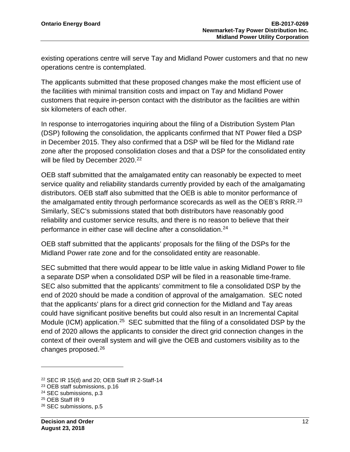existing operations centre will serve Tay and Midland Power customers and that no new operations centre is contemplated.

The applicants submitted that these proposed changes make the most efficient use of the facilities with minimal transition costs and impact on Tay and Midland Power customers that require in-person contact with the distributor as the facilities are within six kilometers of each other.

In response to interrogatories inquiring about the filing of a Distribution System Plan (DSP) following the consolidation, the applicants confirmed that NT Power filed a DSP in December 2015. They also confirmed that a DSP will be filed for the Midland rate zone after the proposed consolidation closes and that a DSP for the consolidated entity will be filed by December 2020.<sup>[22](#page-13-0)</sup>

OEB staff submitted that the amalgamated entity can reasonably be expected to meet service quality and reliability standards currently provided by each of the amalgamating distributors. OEB staff also submitted that the OEB is able to monitor performance of the amalgamated entity through performance scorecards as well as the OEB's RRR.<sup>[23](#page-13-1)</sup> Similarly, SEC's submissions stated that both distributors have reasonably good reliability and customer service results, and there is no reason to believe that their performance in either case will decline after a consolidation.[24](#page-13-2)

OEB staff submitted that the applicants' proposals for the filing of the DSPs for the Midland Power rate zone and for the consolidated entity are reasonable.

SEC submitted that there would appear to be little value in asking Midland Power to file a separate DSP when a consolidated DSP will be filed in a reasonable time-frame. SEC also submitted that the applicants' commitment to file a consolidated DSP by the end of 2020 should be made a condition of approval of the amalgamation. SEC noted that the applicants' plans for a direct grid connection for the Midland and Tay areas could have significant positive benefits but could also result in an Incremental Capital Module (ICM) application.<sup>[25](#page-13-3)</sup> SEC submitted that the filing of a consolidated DSP by the end of 2020 allows the applicants to consider the direct grid connection changes in the context of their overall system and will give the OEB and customers visibility as to the changes proposed.[26](#page-13-4)

<span id="page-13-0"></span><sup>22</sup> SEC IR 15(d) and 20; OEB Staff IR 2-Staff-14

<span id="page-13-1"></span><sup>23</sup> OEB staff submissions, p.16

<span id="page-13-2"></span><sup>24</sup> SEC submissions, p.3

<span id="page-13-3"></span><sup>25</sup> OEB Staff IR 9

<span id="page-13-4"></span><sup>26</sup> SEC submissions, p.5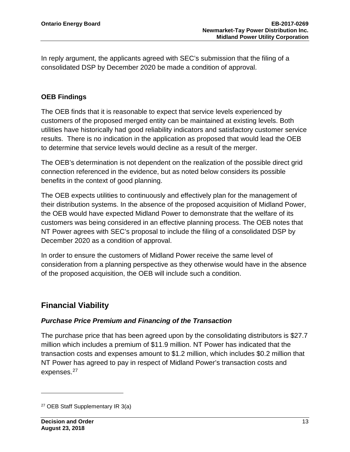In reply argument, the applicants agreed with SEC's submission that the filing of a consolidated DSP by December 2020 be made a condition of approval.

#### **OEB Findings**

The OEB finds that it is reasonable to expect that service levels experienced by customers of the proposed merged entity can be maintained at existing levels. Both utilities have historically had good reliability indicators and satisfactory customer service results. There is no indication in the application as proposed that would lead the OEB to determine that service levels would decline as a result of the merger.

The OEB's determination is not dependent on the realization of the possible direct grid connection referenced in the evidence, but as noted below considers its possible benefits in the context of good planning.

The OEB expects utilities to continuously and effectively plan for the management of their distribution systems. In the absence of the proposed acquisition of Midland Power, the OEB would have expected Midland Power to demonstrate that the welfare of its customers was being considered in an effective planning process. The OEB notes that NT Power agrees with SEC's proposal to include the filing of a consolidated DSP by December 2020 as a condition of approval.

In order to ensure the customers of Midland Power receive the same level of consideration from a planning perspective as they otherwise would have in the absence of the proposed acquisition, the OEB will include such a condition.

### **Financial Viability**

#### *Purchase Price Premium and Financing of the Transaction*

The purchase price that has been agreed upon by the consolidating distributors is \$27.7 million which includes a premium of \$11.9 million. NT Power has indicated that the transaction costs and expenses amount to \$1.2 million, which includes \$0.2 million that NT Power has agreed to pay in respect of Midland Power's transaction costs and expenses.<sup>[27](#page-14-0)</sup>

<span id="page-14-0"></span><sup>27</sup> OEB Staff Supplementary IR 3(a)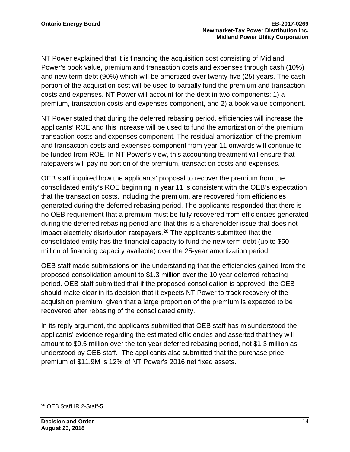NT Power explained that it is financing the acquisition cost consisting of Midland Power's book value, premium and transaction costs and expenses through cash (10%) and new term debt (90%) which will be amortized over twenty-five (25) years. The cash portion of the acquisition cost will be used to partially fund the premium and transaction costs and expenses. NT Power will account for the debt in two components: 1) a premium, transaction costs and expenses component, and 2) a book value component.

NT Power stated that during the deferred rebasing period, efficiencies will increase the applicants' ROE and this increase will be used to fund the amortization of the premium, transaction costs and expenses component. The residual amortization of the premium and transaction costs and expenses component from year 11 onwards will continue to be funded from ROE. In NT Power's view, this accounting treatment will ensure that ratepayers will pay no portion of the premium, transaction costs and expenses.

OEB staff inquired how the applicants' proposal to recover the premium from the consolidated entity's ROE beginning in year 11 is consistent with the OEB's expectation that the transaction costs, including the premium, are recovered from efficiencies generated during the deferred rebasing period. The applicants responded that there is no OEB requirement that a premium must be fully recovered from efficiencies generated during the deferred rebasing period and that this is a shareholder issue that does not impact electricity distribution ratepayers.<sup>[28](#page-15-0)</sup> The applicants submitted that the consolidated entity has the financial capacity to fund the new term debt (up to \$50 million of financing capacity available) over the 25-year amortization period.

OEB staff made submissions on the understanding that the efficiencies gained from the proposed consolidation amount to \$1.3 million over the 10 year deferred rebasing period. OEB staff submitted that if the proposed consolidation is approved, the OEB should make clear in its decision that it expects NT Power to track recovery of the acquisition premium, given that a large proportion of the premium is expected to be recovered after rebasing of the consolidated entity.

In its reply argument, the applicants submitted that OEB staff has misunderstood the applicants' evidence regarding the estimated efficiencies and asserted that they will amount to \$9.5 million over the ten year deferred rebasing period, not \$1.3 million as understood by OEB staff. The applicants also submitted that the purchase price premium of \$11.9M is 12% of NT Power's 2016 net fixed assets.

<span id="page-15-0"></span><sup>28</sup> OEB Staff IR 2-Staff-5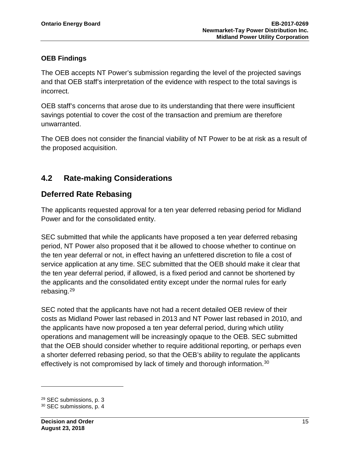#### **OEB Findings**

The OEB accepts NT Power's submission regarding the level of the projected savings and that OEB staff's interpretation of the evidence with respect to the total savings is incorrect.

OEB staff's concerns that arose due to its understanding that there were insufficient savings potential to cover the cost of the transaction and premium are therefore unwarranted.

The OEB does not consider the financial viability of NT Power to be at risk as a result of the proposed acquisition.

## <span id="page-16-0"></span>**4.2 Rate-making Considerations**

## **Deferred Rate Rebasing**

The applicants requested approval for a ten year deferred rebasing period for Midland Power and for the consolidated entity.

SEC submitted that while the applicants have proposed a ten year deferred rebasing period, NT Power also proposed that it be allowed to choose whether to continue on the ten year deferral or not, in effect having an unfettered discretion to file a cost of service application at any time. SEC submitted that the OEB should make it clear that the ten year deferral period, if allowed, is a fixed period and cannot be shortened by the applicants and the consolidated entity except under the normal rules for early rebasing.[29](#page-16-1) 

SEC noted that the applicants have not had a recent detailed OEB review of their costs as Midland Power last rebased in 2013 and NT Power last rebased in 2010, and the applicants have now proposed a ten year deferral period, during which utility operations and management will be increasingly opaque to the OEB. SEC submitted that the OEB should consider whether to require additional reporting, or perhaps even a shorter deferred rebasing period, so that the OEB's ability to regulate the applicants effectively is not compromised by lack of timely and thorough information.<sup>[30](#page-16-2)</sup>

<span id="page-16-1"></span><sup>29</sup> SEC submissions, p. 3

<span id="page-16-2"></span><sup>30</sup> SEC submissions, p. 4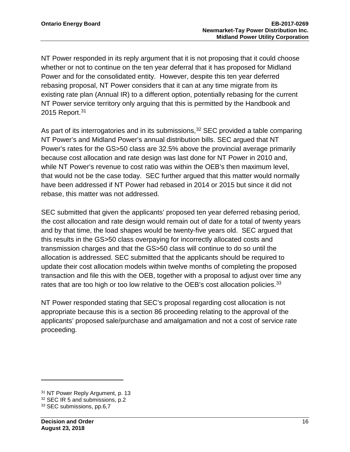NT Power responded in its reply argument that it is not proposing that it could choose whether or not to continue on the ten year deferral that it has proposed for Midland Power and for the consolidated entity. However, despite this ten year deferred rebasing proposal, NT Power considers that it can at any time migrate from its existing rate plan (Annual IR) to a different option, potentially rebasing for the current NT Power service territory only arguing that this is permitted by the Handbook and 2015 Report.<sup>[31](#page-17-0)</sup>

As part of its interrogatories and in its submissions,  $32$  SEC provided a table comparing NT Power's and Midland Power's annual distribution bills. SEC argued that NT Power's rates for the GS>50 class are 32.5% above the provincial average primarily because cost allocation and rate design was last done for NT Power in 2010 and, while NT Power's revenue to cost ratio was within the OEB's then maximum level, that would not be the case today. SEC further argued that this matter would normally have been addressed if NT Power had rebased in 2014 or 2015 but since it did not rebase, this matter was not addressed.

SEC submitted that given the applicants' proposed ten year deferred rebasing period, the cost allocation and rate design would remain out of date for a total of twenty years and by that time, the load shapes would be twenty-five years old. SEC argued that this results in the GS>50 class overpaying for incorrectly allocated costs and transmission charges and that the GS>50 class will continue to do so until the allocation is addressed. SEC submitted that the applicants should be required to update their cost allocation models within twelve months of completing the proposed transaction and file this with the OEB, together with a proposal to adjust over time any rates that are too high or too low relative to the OEB's cost allocation policies.<sup>33</sup>

NT Power responded stating that SEC's proposal regarding cost allocation is not appropriate because this is a section 86 proceeding relating to the approval of the applicants' proposed sale/purchase and amalgamation and not a cost of service rate proceeding.

<span id="page-17-0"></span><sup>&</sup>lt;sup>31</sup> NT Power Reply Argument, p. 13

<span id="page-17-1"></span><sup>32</sup> SEC IR 5 and submissions, p.2

<span id="page-17-2"></span><sup>33</sup> SEC submissions, pp.6,7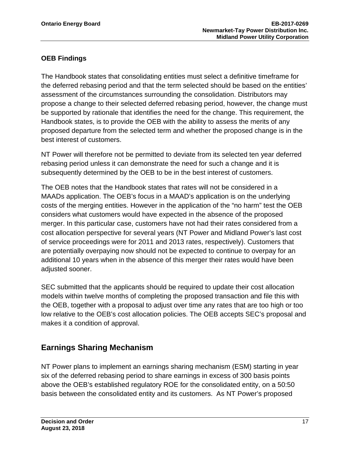### **OEB Findings**

The Handbook states that consolidating entities must select a definitive timeframe for the deferred rebasing period and that the term selected should be based on the entities' assessment of the circumstances surrounding the consolidation. Distributors may propose a change to their selected deferred rebasing period, however, the change must be supported by rationale that identifies the need for the change. This requirement, the Handbook states, is to provide the OEB with the ability to assess the merits of any proposed departure from the selected term and whether the proposed change is in the best interest of customers.

NT Power will therefore not be permitted to deviate from its selected ten year deferred rebasing period unless it can demonstrate the need for such a change and it is subsequently determined by the OEB to be in the best interest of customers.

The OEB notes that the Handbook states that rates will not be considered in a MAADs application. The OEB's focus in a MAAD's application is on the underlying costs of the merging entities. However in the application of the "no harm" test the OEB considers what customers would have expected in the absence of the proposed merger. In this particular case, customers have not had their rates considered from a cost allocation perspective for several years (NT Power and Midland Power's last cost of service proceedings were for 2011 and 2013 rates, respectively). Customers that are potentially overpaying now should not be expected to continue to overpay for an additional 10 years when in the absence of this merger their rates would have been adjusted sooner.

SEC submitted that the applicants should be required to update their cost allocation models within twelve months of completing the proposed transaction and file this with the OEB, together with a proposal to adjust over time any rates that are too high or too low relative to the OEB's cost allocation policies. The OEB accepts SEC's proposal and makes it a condition of approval.

## **Earnings Sharing Mechanism**

NT Power plans to implement an earnings sharing mechanism (ESM) starting in year six of the deferred rebasing period to share earnings in excess of 300 basis points above the OEB's established regulatory ROE for the consolidated entity, on a 50:50 basis between the consolidated entity and its customers. As NT Power's proposed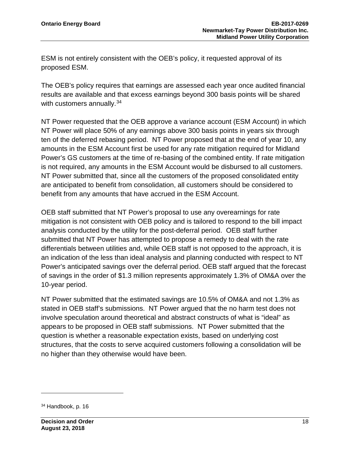ESM is not entirely consistent with the OEB's policy, it requested approval of its proposed ESM.

The OEB's policy requires that earnings are assessed each year once audited financial results are available and that excess earnings beyond 300 basis points will be shared with customers annually.<sup>[34](#page-19-0)</sup>

NT Power requested that the OEB approve a variance account (ESM Account) in which NT Power will place 50% of any earnings above 300 basis points in years six through ten of the deferred rebasing period. NT Power proposed that at the end of year 10, any amounts in the ESM Account first be used for any rate mitigation required for Midland Power's GS customers at the time of re-basing of the combined entity. If rate mitigation is not required, any amounts in the ESM Account would be disbursed to all customers. NT Power submitted that, since all the customers of the proposed consolidated entity are anticipated to benefit from consolidation, all customers should be considered to benefit from any amounts that have accrued in the ESM Account.

OEB staff submitted that NT Power's proposal to use any overearnings for rate mitigation is not consistent with OEB policy and is tailored to respond to the bill impact analysis conducted by the utility for the post-deferral period. OEB staff further submitted that NT Power has attempted to propose a remedy to deal with the rate differentials between utilities and, while OEB staff is not opposed to the approach, it is an indication of the less than ideal analysis and planning conducted with respect to NT Power's anticipated savings over the deferral period. OEB staff argued that the forecast of savings in the order of \$1.3 million represents approximately 1.3% of OM&A over the 10-year period.

NT Power submitted that the estimated savings are 10.5% of OM&A and not 1.3% as stated in OEB staff's submissions. NT Power argued that the no harm test does not involve speculation around theoretical and abstract constructs of what is "ideal" as appears to be proposed in OEB staff submissions. NT Power submitted that the question is whether a reasonable expectation exists, based on underlying cost structures, that the costs to serve acquired customers following a consolidation will be no higher than they otherwise would have been.

<span id="page-19-0"></span><sup>34</sup> Handbook, p. 16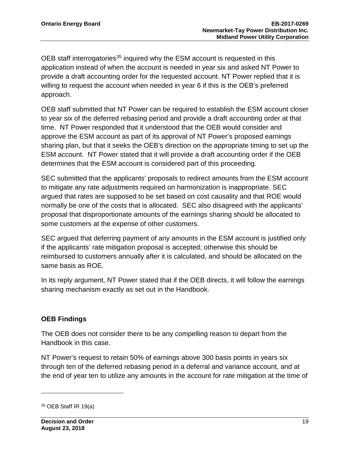OEB staff interrogatories<sup>[35](#page-20-0)</sup> inquired why the ESM account is requested in this application instead of when the account is needed in year six and asked NT Power to provide a draft accounting order for the requested account. NT Power replied that it is willing to request the account when needed in year 6 if this is the OEB's preferred approach.

OEB staff submitted that NT Power can be required to establish the ESM account closer to year six of the deferred rebasing period and provide a draft accounting order at that time. NT Power responded that it understood that the OEB would consider and approve the ESM account as part of its approval of NT Power's proposed earnings sharing plan, but that it seeks the OEB's direction on the appropriate timing to set up the ESM account. NT Power stated that it will provide a draft accounting order if the OEB determines that the ESM account is considered part of this proceeding.

SEC submitted that the applicants' proposals to redirect amounts from the ESM account to mitigate any rate adjustments required on harmonization is inappropriate. SEC argued that rates are supposed to be set based on cost causality and that ROE would normally be one of the costs that is allocated. SEC also disagreed with the applicants' proposal that disproportionate amounts of the earnings sharing should be allocated to some customers at the expense of other customers.

SEC argued that deferring payment of any amounts in the ESM account is justified only if the applicants' rate mitigation proposal is accepted; otherwise this should be reimbursed to customers annually after it is calculated, and should be allocated on the same basis as ROE.

In its reply argument, NT Power stated that if the OEB directs, it will follow the earnings sharing mechanism exactly as set out in the Handbook.

### **OEB Findings**

The OEB does not consider there to be any compelling reason to depart from the Handbook in this case.

NT Power's request to retain 50% of earnings above 300 basis points in years six through ten of the deferred rebasing period in a deferral and variance account, and at the end of year ten to utilize any amounts in the account for rate mitigation at the time of

<span id="page-20-0"></span><sup>35</sup> OEB Staff IR 19(a)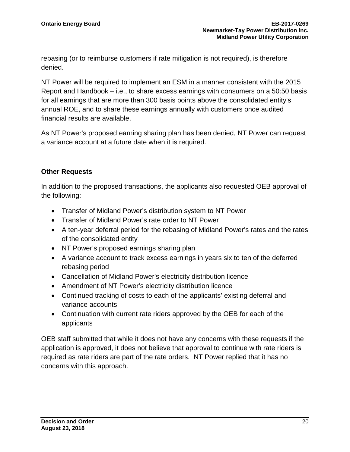rebasing (or to reimburse customers if rate mitigation is not required), is therefore denied.

NT Power will be required to implement an ESM in a manner consistent with the 2015 Report and Handbook – i.e., to share excess earnings with consumers on a 50:50 basis for all earnings that are more than 300 basis points above the consolidated entity's annual ROE, and to share these earnings annually with customers once audited financial results are available.

As NT Power's proposed earning sharing plan has been denied, NT Power can request a variance account at a future date when it is required.

#### **Other Requests**

In addition to the proposed transactions, the applicants also requested OEB approval of the following:

- Transfer of Midland Power's distribution system to NT Power
- Transfer of Midland Power's rate order to NT Power
- A ten-year deferral period for the rebasing of Midland Power's rates and the rates of the consolidated entity
- NT Power's proposed earnings sharing plan
- A variance account to track excess earnings in years six to ten of the deferred rebasing period
- Cancellation of Midland Power's electricity distribution licence
- Amendment of NT Power's electricity distribution licence
- Continued tracking of costs to each of the applicants' existing deferral and variance accounts
- Continuation with current rate riders approved by the OEB for each of the applicants

OEB staff submitted that while it does not have any concerns with these requests if the application is approved, it does not believe that approval to continue with rate riders is required as rate riders are part of the rate orders. NT Power replied that it has no concerns with this approach.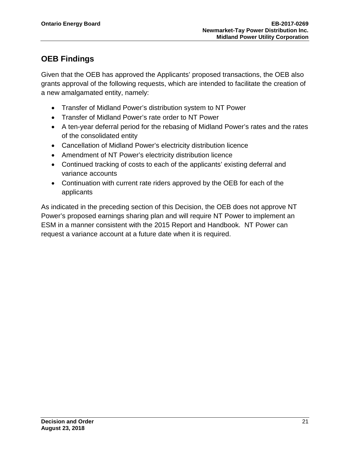## **OEB Findings**

Given that the OEB has approved the Applicants' proposed transactions, the OEB also grants approval of the following requests, which are intended to facilitate the creation of a new amalgamated entity, namely:

- Transfer of Midland Power's distribution system to NT Power
- Transfer of Midland Power's rate order to NT Power
- A ten-year deferral period for the rebasing of Midland Power's rates and the rates of the consolidated entity
- Cancellation of Midland Power's electricity distribution licence
- Amendment of NT Power's electricity distribution licence
- Continued tracking of costs to each of the applicants' existing deferral and variance accounts
- Continuation with current rate riders approved by the OEB for each of the applicants

As indicated in the preceding section of this Decision, the OEB does not approve NT Power's proposed earnings sharing plan and will require NT Power to implement an ESM in a manner consistent with the 2015 Report and Handbook. NT Power can request a variance account at a future date when it is required.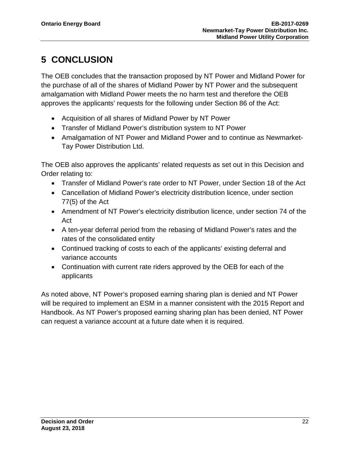## <span id="page-23-0"></span>**5 CONCLUSION**

The OEB concludes that the transaction proposed by NT Power and Midland Power for the purchase of all of the shares of Midland Power by NT Power and the subsequent amalgamation with Midland Power meets the no harm test and therefore the OEB approves the applicants' requests for the following under Section 86 of the Act:

- Acquisition of all shares of Midland Power by NT Power
- Transfer of Midland Power's distribution system to NT Power
- Amalgamation of NT Power and Midland Power and to continue as Newmarket-Tay Power Distribution Ltd.

The OEB also approves the applicants' related requests as set out in this Decision and Order relating to:

- Transfer of Midland Power's rate order to NT Power, under Section 18 of the Act
- Cancellation of Midland Power's electricity distribution licence, under section 77(5) of the Act
- Amendment of NT Power's electricity distribution licence, under section 74 of the Act
- A ten-year deferral period from the rebasing of Midland Power's rates and the rates of the consolidated entity
- Continued tracking of costs to each of the applicants' existing deferral and variance accounts
- Continuation with current rate riders approved by the OEB for each of the applicants

As noted above, NT Power's proposed earning sharing plan is denied and NT Power will be required to implement an ESM in a manner consistent with the 2015 Report and Handbook. As NT Power's proposed earning sharing plan has been denied, NT Power can request a variance account at a future date when it is required.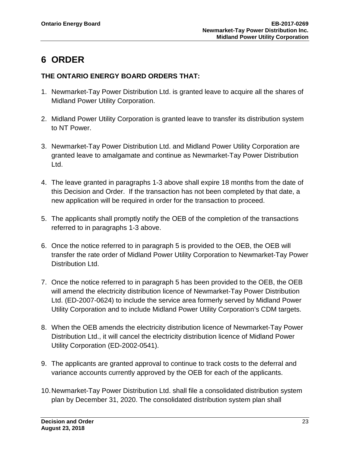## <span id="page-24-0"></span>**6 ORDER**

#### **THE ONTARIO ENERGY BOARD ORDERS THAT:**

- 1. Newmarket-Tay Power Distribution Ltd. is granted leave to acquire all the shares of Midland Power Utility Corporation.
- 2. Midland Power Utility Corporation is granted leave to transfer its distribution system to NT Power.
- 3. Newmarket-Tay Power Distribution Ltd. and Midland Power Utility Corporation are granted leave to amalgamate and continue as Newmarket-Tay Power Distribution Ltd.
- 4. The leave granted in paragraphs 1-3 above shall expire 18 months from the date of this Decision and Order. If the transaction has not been completed by that date, a new application will be required in order for the transaction to proceed.
- 5. The applicants shall promptly notify the OEB of the completion of the transactions referred to in paragraphs 1-3 above.
- 6. Once the notice referred to in paragraph 5 is provided to the OEB, the OEB will transfer the rate order of Midland Power Utility Corporation to Newmarket-Tay Power Distribution Ltd.
- 7. Once the notice referred to in paragraph 5 has been provided to the OEB, the OEB will amend the electricity distribution licence of Newmarket-Tay Power Distribution Ltd. (ED-2007-0624) to include the service area formerly served by Midland Power Utility Corporation and to include Midland Power Utility Corporation's CDM targets.
- 8. When the OEB amends the electricity distribution licence of Newmarket-Tay Power Distribution Ltd., it will cancel the electricity distribution licence of Midland Power Utility Corporation (ED-2002-0541).
- 9. The applicants are granted approval to continue to track costs to the deferral and variance accounts currently approved by the OEB for each of the applicants.
- 10.Newmarket-Tay Power Distribution Ltd. shall file a consolidated distribution system plan by December 31, 2020. The consolidated distribution system plan shall